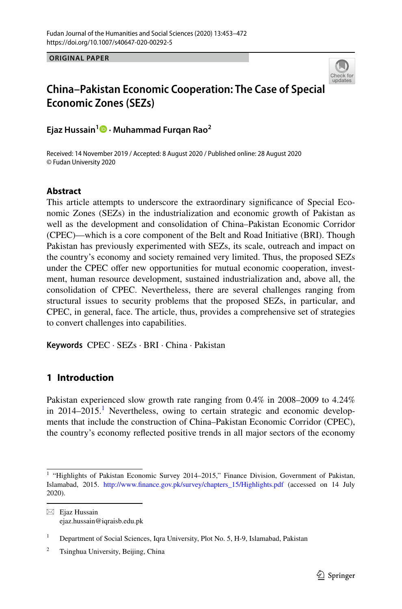**ORIGINAL PAPER**



# **China–Pakistan Economic Cooperation: The Case of Special Economic Zones (SEZs)**

**Ejaz Hussain1 · Muhammad Furqan Rao<sup>2</sup>**

Received: 14 November 2019 / Accepted: 8 August 2020 / Published online: 28 August 2020 © Fudan University 2020

# **Abstract**

This article attempts to underscore the extraordinary significance of Special Eco– nomic Zones (SEZs) in the industrialization and economic growth of Pakistan as well as the development and consolidation of China–Pakistan Economic Corridor (CPEC)—which is a core component of the Belt and Road Initiative (BRI). Though Pakistan has previously experimented with SEZs, its scale, outreach and impact on the country's economy and society remained very limited. Thus, the proposed SEZs under the CPEC offer new opportunities for mutual economic cooperation, investment, human resource development, sustained industrialization and, above all, the consolidation of CPEC. Nevertheless, there are several challenges ranging from structural issues to security problems that the proposed SEZs, in particular, and CPEC, in general, face. The article, thus, provides a comprehensive set of strategies to convert challenges into capabilities.

**Keywords** CPEC · SEZs · BRI · China · Pakistan

# **1 Introduction**

Pakistan experienced slow growth rate ranging from 0.4% in 2008–2009 to 4.24% in  $2014-2015$ .<sup>1</sup> Nevertheless, owing to certain strategic and economic developments that include the construction of China–Pakistan Economic Corridor (CPEC), the country's economy refected positive trends in all major sectors of the economy

<span id="page-0-0"></span><sup>&</sup>lt;sup>1</sup> "Highlights of Pakistan Economic Survey 2014–2015," Finance Division, Government of Pakistan, Islamabad, 2015. [http://www.fnance.gov.pk/survey/chapters\\_15/Highlights.pdf](http://www.finance.gov.pk/survey/chapters_15/Highlights.pdf) (accessed on 14 July 2020).

 $\boxtimes$  Ejaz Hussain ejaz.hussain@iqraisb.edu.pk

<sup>&</sup>lt;sup>1</sup> Department of Social Sciences, Iqra University, Plot No. 5, H-9, Islamabad, Pakistan

<sup>&</sup>lt;sup>2</sup> Tsinghua University, Beijing, China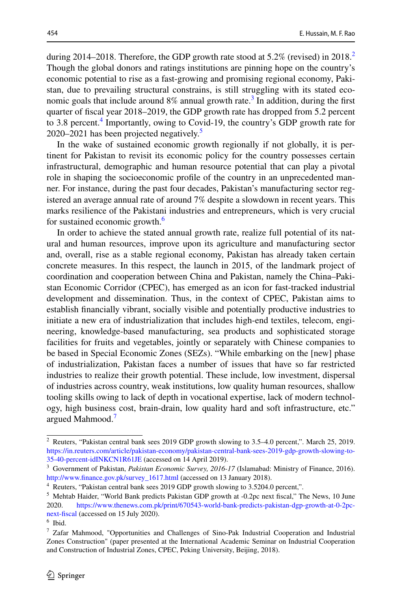during [2](#page-1-0)014–2018. Therefore, the GDP growth rate stood at 5.2% (revised) in 2018.<sup>2</sup> Though the global donors and ratings institutions are pinning hope on the country's economic potential to rise as a fast-growing and promising regional economy, Pakistan, due to prevailing structural constrains, is still struggling with its stated eco-nomic goals that include around 8% annual growth rate.<sup>[3](#page-1-1)</sup> In addition, during the first quarter of fscal year 2018–2019, the GDP growth rate has dropped from 5.2 percent to 3.8 percent.<sup>[4](#page-1-2)</sup> Importantly, owing to Covid-19, the country's GDP growth rate for 2020–2021 has been projected negatively.<sup>[5](#page-1-3)</sup>

In the wake of sustained economic growth regionally if not globally, it is pertinent for Pakistan to revisit its economic policy for the country possesses certain infrastructural, demographic and human resource potential that can play a pivotal role in shaping the socioeconomic profile of the country in an unprecedented manner. For instance, during the past four decades, Pakistan's manufacturing sector registered an average annual rate of around 7% despite a slowdown in recent years. This marks resilience of the Pakistani industries and entrepreneurs, which is very crucial for sustained economic growth.<sup>[6](#page-1-4)</sup>

In order to achieve the stated annual growth rate, realize full potential of its natural and human resources, improve upon its agriculture and manufacturing sector and, overall, rise as a stable regional economy, Pakistan has already taken certain concrete measures. In this respect, the launch in 2015, of the landmark project of coordination and cooperation between China and Pakistan, namely the China–Pakistan Economic Corridor (CPEC), has emerged as an icon for fast-tracked industrial development and dissemination. Thus, in the context of CPEC, Pakistan aims to establish fnancially vibrant, socially visible and potentially productive industries to initiate a new era of industrialization that includes high-end textiles, telecom, engineering, knowledge-based manufacturing, sea products and sophisticated storage facilities for fruits and vegetables, jointly or separately with Chinese companies to be based in Special Economic Zones (SEZs). "While embarking on the [new] phase of industrialization, Pakistan faces a number of issues that have so far restricted industries to realize their growth potential. These include, low investment, dispersal of industries across country, weak institutions, low quality human resources, shallow tooling skills owing to lack of depth in vocational expertise, lack of modern technol‑ ogy, high business cost, brain-drain, low quality hard and soft infrastructure, etc." argued Mahmood.<sup>[7](#page-1-5)</sup>

<span id="page-1-0"></span><sup>2</sup> Reuters, "Pakistan central bank sees 2019 GDP growth slowing to 3.5–4.0 percent,". March 25, 2019. [https://in.reuters.com/article/pakistan-economy/pakistan-central-bank-sees-2019-gdp-growth-slowing-to-](https://in.reuters.com/article/pakistan-economy/pakistan-central-bank-sees-2019-gdp-growth-slowing-to-35-40-percent-idINKCN1R61JE)[35-40-percent-idINKCN1R61JE](https://in.reuters.com/article/pakistan-economy/pakistan-central-bank-sees-2019-gdp-growth-slowing-to-35-40-percent-idINKCN1R61JE) (accessed on 14 April 2019).

<span id="page-1-1"></span><sup>3</sup> Government of Pakistan, *Pakistan Economic Survey, 2016-17* (Islamabad: Ministry of Finance, 2016). [http://www.fnance.gov.pk/survey\\_1617.html](http://www.finance.gov.pk/survey_1617.html) (accessed on 13 January 2018).

<span id="page-1-2"></span><sup>4</sup> Reuters, "Pakistan central bank sees 2019 GDP growth slowing to 3.5204.0 percent,".

<span id="page-1-3"></span><sup>5</sup> Mehtab Haider, "World Bank predicts Pakistan GDP growth at -0.2pc next fscal," The News, 10 June 2020. [https://www.thenews.com.pk/print/670543-world-bank-predicts-pakistan-dgp-growth-at-0-2pc](https://www.thenews.com.pk/print/670543-world-bank-predicts-pakistan-dgp-growth-at-0-2pc-next-fiscal)[next-fscal](https://www.thenews.com.pk/print/670543-world-bank-predicts-pakistan-dgp-growth-at-0-2pc-next-fiscal) (accessed on 15 July 2020).

<span id="page-1-4"></span><sup>6</sup> Ibid.

<span id="page-1-5"></span><sup>7</sup> Zafar Mahmood, "Opportunities and Challenges of Sino-Pak Industrial Cooperation and Industrial Zones Construction" (paper presented at the International Academic Seminar on Industrial Cooperation and Construction of Industrial Zones, CPEC, Peking University, Beijing, 2018).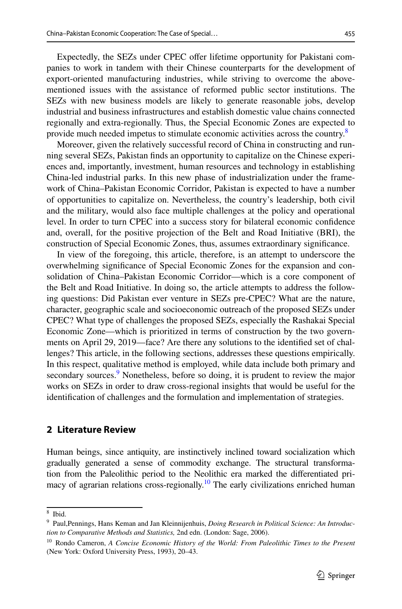Expectedly, the SEZs under CPEC offer lifetime opportunity for Pakistani companies to work in tandem with their Chinese counterparts for the development of export-oriented manufacturing industries, while striving to overcome the abovementioned issues with the assistance of reformed public sector institutions. The SEZs with new business models are likely to generate reasonable jobs, develop industrial and business infrastructures and establish domestic value chains connected regionally and extra-regionally. Thus, the Special Economic Zones are expected to provide much needed impetus to stimulate economic activities across the country.<sup>[8](#page-2-0)</sup>

Moreover, given the relatively successful record of China in constructing and run– ning several SEZs, Pakistan finds an opportunity to capitalize on the Chinese experiences and, importantly, investment, human resources and technology in establishing China-led industrial parks. In this new phase of industrialization under the frame– work of China–Pakistan Economic Corridor, Pakistan is expected to have a number of opportunities to capitalize on. Nevertheless, the country's leadership, both civil and the military, would also face multiple challenges at the policy and operational level. In order to turn CPEC into a success story for bilateral economic confdence and, overall, for the positive projection of the Belt and Road Initiative (BRI), the construction of Special Economic Zones, thus, assumes extraordinary signifcance.

In view of the foregoing, this article, therefore, is an attempt to underscore the overwhelming significance of Special Economic Zones for the expansion and consolidation of China–Pakistan Economic Corridor—which is a core component of the Belt and Road Initiative. In doing so, the article attempts to address the following questions: Did Pakistan ever venture in SEZs pre-CPEC? What are the nature, character, geographic scale and socioeconomic outreach of the proposed SEZs under CPEC? What type of challenges the proposed SEZs, especially the Rashakai Special Economic Zone—which is prioritized in terms of construction by the two govern– ments on April 29, 2019—face? Are there any solutions to the identified set of chal– lenges? This article, in the following sections, addresses these questions empirically. In this respect, qualitative method is employed, while data include both primary and secondary sources.<sup>[9](#page-2-1)</sup> Nonetheless, before so doing, it is prudent to review the major works on SEZs in order to draw cross-regional insights that would be useful for the identifcation of challenges and the formulation and implementation of strategies.

### **2 Literature Review**

Human beings, since antiquity, are instinctively inclined toward socialization which gradually generated a sense of commodity exchange. The structural transformation from the Paleolithic period to the Neolithic era marked the differentiated primacy of agrarian relations cross-regionally.<sup>10</sup> The early civilizations enriched human

<span id="page-2-0"></span><sup>8</sup> Ibid.

<span id="page-2-1"></span><sup>9</sup> Paul,Pennings, Hans Keman and Jan Kleinnijenhuis, *Doing Research in Political Science: An Introduction to Comparative Methods and Statistics,* 2nd edn. (London: Sage, 2006).

<span id="page-2-2"></span><sup>10</sup> Rondo Cameron, *A Concise Economic History of the World: From Paleolithic Times to the Present* (New York: Oxford University Press, 1993), 20–43.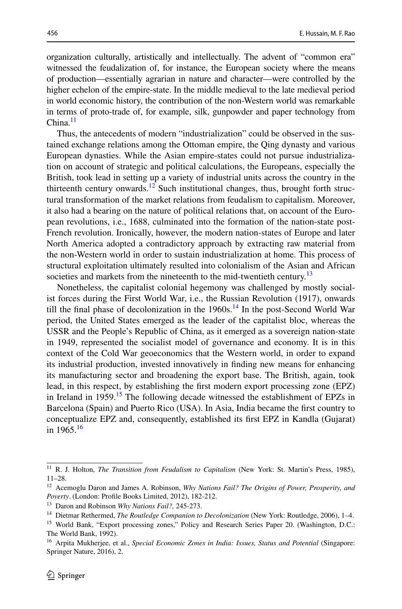organization culturally, artistically and intellectually. The advent of "common era" witnessed the feudalization of, for instance, the European society where the means of production—essentially agrarian in nature and character—were controlled by the higher echelon of the empire-state. In the middle medieval to the late medieval period in world economic history, the contribution of the non-Western world was remarkable in terms of proto-trade of, for example, silk, gunpowder and paper technology from  $China.<sup>11</sup>$  $China.<sup>11</sup>$  $China.<sup>11</sup>$ 

Thus, the antecedents of modern "industrialization" could be observed in the sustained exchange relations among the Ottoman empire, the Qing dynasty and various European dynasties. While the Asian empire-states could not pursue industrialization on account of strategic and political calculations, the Europeans, especially the British, took lead in setting up a variety of industrial units across the country in the thirteenth century onwards.<sup>12</sup> Such institutional changes, thus, brought forth structural transformation of the market relations from feudalism to capitalism. Moreover, it also had a bearing on the nature of political relations that, on account of the Euro– pean revolutions, i.e., 1688, culminated into the formation of the nation-state post-French revolution. Ironically, however, the modern nation-states of Europe and later North America adopted a contradictory approach by extracting raw material from the non-Western world in order to sustain industrialization at home. This process of structural exploitation ultimately resulted into colonialism of the Asian and African societies and markets from the nineteenth to the mid-twentieth century.<sup>[13](#page-3-2)</sup>

Nonetheless, the capitalist colonial hegemony was challenged by mostly social‑ ist forces during the First World War, i.e., the Russian Revolution (1917), onwards till the final phase of decolonization in the  $1960s$ .<sup>[14](#page-3-3)</sup> In the post-Second World War period, the United States emerged as the leader of the capitalist bloc, whereas the USSR and the People's Republic of China, as it emerged as a sovereign nation-state in 1949, represented the socialist model of governance and economy. It is in this context of the Cold War geoeconomics that the Western world, in order to expand its industrial production, invested innovatively in fnding new means for enhancing its manufacturing sector and broadening the export base. The British, again, took lead, in this respect, by establishing the frst modern export processing zone (EPZ) in Ireland in 1959.<sup>15</sup> The following decade witnessed the establishment of EPZs in Barcelona (Spain) and Puerto Rico (USA). In Asia, India became the frst country to conceptualize EPZ and, consequently, established its frst EPZ in Kandla (Gujarat) in  $1965.<sup>16</sup>$  $1965.<sup>16</sup>$  $1965.<sup>16</sup>$ 

<span id="page-3-0"></span><sup>&</sup>lt;sup>11</sup> R. J. Holton, *The Transition from Feudalism to Capitalism* (New York: St. Martin's Press, 1985), 11–28.

<span id="page-3-1"></span><sup>12</sup> Acemoglu Daron and James A. Robinson, *Why Nations Fail? The Origins of Power, Prosperity, and Poverty*. (London: Profle Books Limited, 2012), 182-212.

<span id="page-3-2"></span><sup>13</sup> Daron and Robinson *Why Nations Fail?,* 245-273.

<span id="page-3-3"></span><sup>14</sup> Dietmar Rethermed, *The Routledge Companion to Decolonization* (New York: Routledge, 2006), 1–4.

<span id="page-3-4"></span><sup>&</sup>lt;sup>15</sup> World Bank, "Export processing zones," Policy and Research Series Paper 20. (Washington, D.C.: The World Bank, 1992).

<span id="page-3-5"></span><sup>&</sup>lt;sup>16</sup> Arpita Mukherjee, et al., *Special Economic Zones in India: Issues, Status and Potential* (Singapore: Springer Nature, 2016), 2.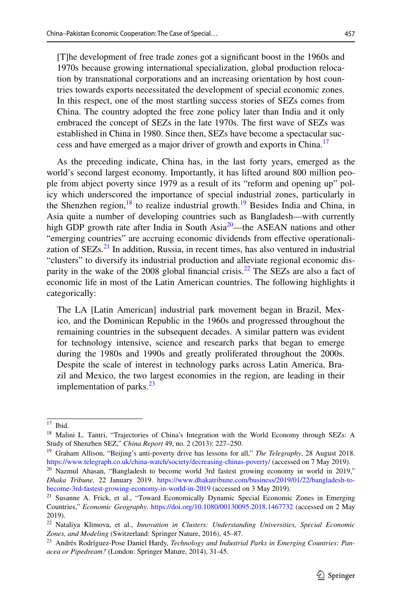[T]he development of free trade zones got a signifcant boost in the 1960s and 1970s because growing international specialization, global production reloca‑ tion by transnational corporations and an increasing orientation by host countries towards exports necessitated the development of special economic zones. In this respect, one of the most startling success stories of SEZs comes from China. The country adopted the free zone policy later than India and it only embraced the concept of SEZs in the late 1970s. The frst wave of SEZs was established in China in 1980. Since then, SEZs have become a spectacular suc-cess and have emerged as a major driver of growth and exports in China.<sup>[17](#page-4-0)</sup>

As the preceding indicate, China has, in the last forty years, emerged as the world's second largest economy. Importantly, it has lifted around 800 million people from abject poverty since 1979 as a result of its "reform and opening up" policy which underscored the importance of special industrial zones, particularly in the Shenzhen region, <sup>18</sup> to realize industrial growth.<sup>19</sup> Besides India and China, in Asia quite a number of developing countries such as Bangladesh—with currently high GDP growth rate after India in South Asia<sup>[20](#page-4-3)</sup>—the ASEAN nations and other "emerging countries" are accruing economic dividends from effective operationalization of  $SEZs$ <sup>21</sup>. In addition, Russia, in recent times, has also ventured in industrial "clusters" to diversify its industrial production and alleviate regional economic dis‑ parity in the wake of the 2008 global financial crisis.<sup>22</sup> The SEZs are also a fact of economic life in most of the Latin American countries. The following highlights it categorically:

The LA [Latin American] industrial park movement began in Brazil, Mexico, and the Dominican Republic in the 1960s and progressed throughout the remaining countries in the subsequent decades. A similar pattern was evident for technology intensive, science and research parks that began to emerge during the 1980s and 1990s and greatly proliferated throughout the 2000s. Despite the scale of interest in technology parks across Latin America, Brazil and Mexico, the two largest economies in the region, are leading in their implementation of parks. $^{23}$  $^{23}$  $^{23}$ 

<span id="page-4-0"></span> $17$  Ibid.

<span id="page-4-1"></span><sup>18</sup> Malini L. Tantri, "Trajectories of China's Integration with the World Economy through SEZs: A Study of Shenzhen SEZ," *China Report* 49, no. 2 (2013): 227–250.

<span id="page-4-2"></span><sup>19</sup> Graham Allison, "Beijing's anti-poverty drive has lessons for all," *The Telegraphy*, 28 August 2018. <https://www.telegraph.co.uk/china-watch/society/decreasing-chinas-poverty/>(accessed on 7 May 2019).

<span id="page-4-3"></span> $20$  Nazmul Ahasan, "Bangladesh to become world 3rd fastest growing economy in world in 2019," *Dhaka Tribune,* 22 January 2019. [https://www.dhakatribune.com/business/2019/01/22/bangladesh-to](https://www.dhakatribune.com/business/2019/01/22/bangladesh-to-become-3rd-fastest-growing-economy-in-world-in-2019)[become-3rd-fastest-growing-economy-in-world-in-2019](https://www.dhakatribune.com/business/2019/01/22/bangladesh-to-become-3rd-fastest-growing-economy-in-world-in-2019) (accessed on 3 May 2019).

<span id="page-4-4"></span><sup>&</sup>lt;sup>21</sup> Susanne A. Frick, et al., "Toward Economically Dynamic Special Economic Zones in Emerging Countries," *Economic Geography*. <https://doi.org/10.1080/00130095.2018.1467732>(accessed on 2 May 2019).

<span id="page-4-5"></span><sup>22</sup> Nataliya Klimova, et al., *Innovation in Clusters: Understanding Universities, Special Economic Zones, and Modeling* (Switzerland: Springer Nature, 2016), 45–87.

<span id="page-4-6"></span><sup>23</sup> Andrés Rodríguez-Pose Daniel Hardy, *Technology and Industrial Parks in Emerging Countries: Panacea or Pipedream?* (London: Springer Mature, 2014), 31-45.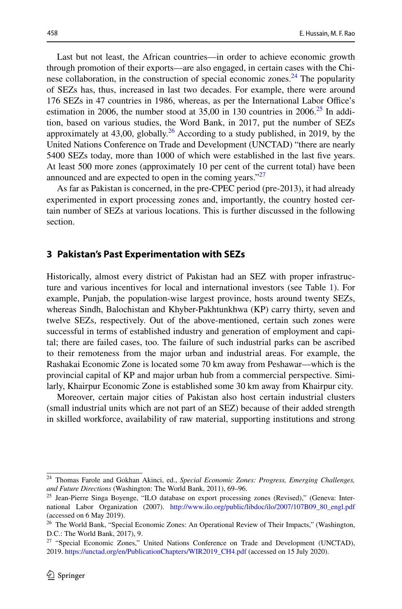Last but not least, the African countries—in order to achieve economic growth through promotion of their exports—are also engaged, in certain cases with the Chi‑ nese collaboration, in the construction of special economic zones.<sup>[24](#page-5-0)</sup> The popularity of SEZs has, thus, increased in last two decades. For example, there were around 176 SEZs in 47 countries in 1986, whereas, as per the International Labor Office's estimation in 2006, the number stood at  $35,00$  in 130 countries in  $2006<sup>25</sup>$  In addition, based on various studies, the Word Bank, in 2017, put the number of SEZs approximately at  $43,00$ , globally.<sup>26</sup> According to a study published, in 2019, by the United Nations Conference on Trade and Development (UNCTAD) "there are nearly 5400 SEZs today, more than 1000 of which were established in the last fve years. At least 500 more zones (approximately 10 per cent of the current total) have been announced and are expected to open in the coming years." $27$ 

As far as Pakistan is concerned, in the pre-CPEC period (pre-2013), it had already experimented in export processing zones and, importantly, the country hosted certain number of SEZs at various locations. This is further discussed in the following section.

### **3 Pakistan's Past Experimentation with SEZs**

Historically, almost every district of Pakistan had an SEZ with proper infrastruc‑ ture and various incentives for local and international investors (see Table [1](#page-7-0)). For example, Punjab, the population-wise largest province, hosts around twenty SEZs, whereas Sindh, Balochistan and Khyber-Pakhtunkhwa (KP) carry thirty, seven and twelve SEZs, respectively. Out of the above-mentioned, certain such zones were successful in terms of established industry and generation of employment and capital; there are failed cases, too. The failure of such industrial parks can be ascribed to their remoteness from the major urban and industrial areas. For example, the Rashakai Economic Zone is located some 70 km away from Peshawar—which is the provincial capital of KP and major urban hub from a commercial perspective. Similarly, Khairpur Economic Zone is established some 30 km away from Khairpur city.

Moreover, certain major cities of Pakistan also host certain industrial clusters (small industrial units which are not part of an SEZ) because of their added strength in skilled workforce, availability of raw material, supporting institutions and strong

<span id="page-5-0"></span><sup>24</sup> Thomas Farole and Gokhan Akinci, ed., *Special Economic Zones: Progress, Emerging Challenges, and Future Directions* (Washington: The World Bank, 2011), 69–96.

<span id="page-5-1"></span><sup>&</sup>lt;sup>25</sup> Jean-Pierre Singa Boyenge, "ILO database on export processing zones (Revised)," (Geneva: International Labor Organization (2007). [http://www.ilo.org/public/libdoc/ilo/2007/107B09\\_80\\_engl.pdf](http://www.ilo.org/public/libdoc/ilo/2007/107B09_80_engl.pdf) (accessed on 6 May 2019).

<span id="page-5-2"></span><sup>&</sup>lt;sup>26</sup> The World Bank, "Special Economic Zones: An Operational Review of Their Impacts," (Washington, D.C.: The World Bank, 2017), 9.

<span id="page-5-3"></span><sup>&</sup>lt;sup>27</sup> "Special Economic Zones," United Nations Conference on Trade and Development (UNCTAD), 2019. [https://unctad.org/en/PublicationChapters/WIR2019\\_CH4.pdf](https://unctad.org/en/PublicationChapters/WIR2019_CH4.pdf) (accessed on 15 July 2020).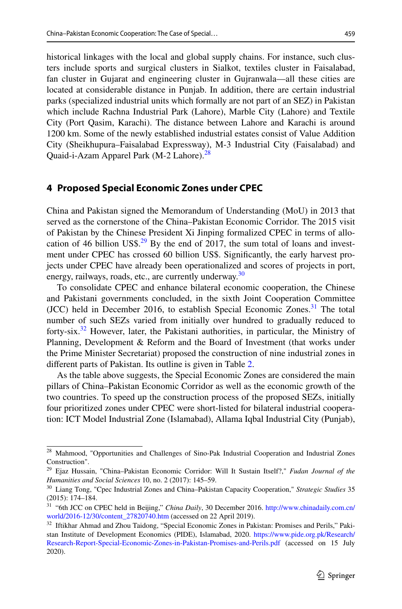459

historical linkages with the local and global supply chains. For instance, such clusters include sports and surgical clusters in Sialkot, textiles cluster in Faisalabad, fan cluster in Gujarat and engineering cluster in Gujranwala—all these cities are located at considerable distance in Punjab. In addition, there are certain industrial parks (specialized industrial units which formally are not part of an SEZ) in Pakistan which include Rachna Industrial Park (Lahore), Marble City (Lahore) and Textile City (Port Qasim, Karachi). The distance between Lahore and Karachi is around 1200 km. Some of the newly established industrial estates consist of Value Addition City (Sheikhupura–Faisalabad Expressway), M-3 Industrial City (Faisalabad) and Quaid-i-Azam Apparel Park (M-2 Lahore).<sup>[28](#page-6-0)</sup>

# **4 Proposed Special Economic Zones under CPEC**

China and Pakistan signed the Memorandum of Understanding (MoU) in 2013 that served as the cornerstone of the China–Pakistan Economic Corridor. The 2015 visit of Pakistan by the Chinese President Xi Jinping formalized CPEC in terms of allo‑ cation of 46 billion US\$.<sup>29</sup> By the end of 2017, the sum total of loans and investment under CPEC has crossed 60 billion US\$. Significantly, the early harvest projects under CPEC have already been operationalized and scores of projects in port, energy, railways, roads, etc., are currently underway.<sup>[30](#page-6-2)</sup>

To consolidate CPEC and enhance bilateral economic cooperation, the Chinese and Pakistani governments concluded, in the sixth Joint Cooperation Committee (JCC) held in December 2016, to establish Special Economic Zones.<sup>31</sup> The total number of such SEZs varied from initially over hundred to gradually reduced to forty-six.<sup>32</sup> However, later, the Pakistani authorities, in particular, the Ministry of Planning, Development & Reform and the Board of Investment (that works under the Prime Minister Secretariat) proposed the construction of nine industrial zones in diferent parts of Pakistan. Its outline is given in Table [2.](#page-8-0)

As the table above suggests, the Special Economic Zones are considered the main pillars of China–Pakistan Economic Corridor as well as the economic growth of the two countries. To speed up the construction process of the proposed SEZs, initially four prioritized zones under CPEC were short-listed for bilateral industrial cooperation: ICT Model Industrial Zone (Islamabad), Allama Iqbal Industrial City (Punjab),

<span id="page-6-0"></span><sup>&</sup>lt;sup>28</sup> Mahmood, "Opportunities and Challenges of Sino-Pak Industrial Cooperation and Industrial Zones Construction".

<span id="page-6-1"></span><sup>29</sup> Ejaz Hussain, "China–Pakistan Economic Corridor: Will It Sustain Itself?," *Fudan Journal of the Humanities and Social Sciences* 10, no. 2 (2017): 145–59.

<span id="page-6-2"></span><sup>30</sup> Liang Tong, "Cpec Industrial Zones and China–Pakistan Capacity Cooperation," *Strategic Studies* 35 (2015): 174–184.

<span id="page-6-3"></span><sup>31</sup> "6th JCC on CPEC held in Beijing," *China Daily*, 30 December 2016. [http://www.chinadaily.com.cn/](http://www.chinadaily.com.cn/world/2016-12/30/content_27820740.htm) [world/2016-12/30/content\\_27820740.htm](http://www.chinadaily.com.cn/world/2016-12/30/content_27820740.htm) (accessed on 22 April 2019).

<span id="page-6-4"></span><sup>&</sup>lt;sup>32</sup> Iftikhar Ahmad and Zhou Taidong, "Special Economic Zones in Pakistan: Promises and Perils," Pakistan Institute of Development Economics (PIDE), Islamabad, 2020. [https://www.pide.org.pk/Research/](https://www.pide.org.pk/Research/Research-Report-Special-Economic-Zones-in-Pakistan-Promises-and-Perils.pdf) [Research-Report-Special-Economic-Zones-in-Pakistan-Promises-and-Perils.pdf](https://www.pide.org.pk/Research/Research-Report-Special-Economic-Zones-in-Pakistan-Promises-and-Perils.pdf) (accessed on 15 July 2020).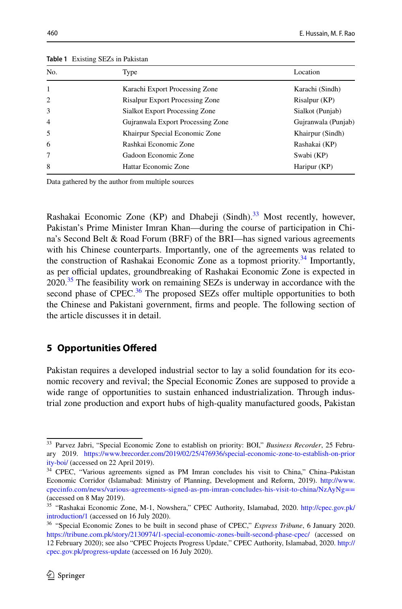| No.            | Type                                   | Location            |
|----------------|----------------------------------------|---------------------|
| $\mathbf{1}$   | Karachi Export Processing Zone         | Karachi (Sindh)     |
| 2              | <b>Risalpur Export Processing Zone</b> | Risalpur (KP)       |
| 3              | Sialkot Export Processing Zone         | Sialkot (Punjab)    |
| $\overline{4}$ | Guiranwala Export Processing Zone      | Gujranwala (Punjab) |
| 5              | Khairpur Special Economic Zone         | Khairpur (Sindh)    |
| 6              | Rashkai Economic Zone                  | Rashakai (KP)       |
| 7              | Gadoon Economic Zone                   | Swabi (KP)          |
| 8              | Hattar Economic Zone                   | Haripur (KP)        |

<span id="page-7-0"></span>**Table 1** Existing SEZs in Pakistan

Data gathered by the author from multiple sources

Rashakai Economic Zone (KP) and Dhabeji (Sindh). $33$  Most recently, however, Pakistan's Prime Minister Imran Khan—during the course of participation in China's Second Belt & Road Forum (BRF) of the BRI—has signed various agreements with his Chinese counterparts. Importantly, one of the agreements was related to the construction of Rashakai Economic Zone as a topmost priority.<sup>34</sup> Importantly, as per official updates, groundbreaking of Rashakai Economic Zone is expected in 2020.<sup>35</sup> The feasibility work on remaining SEZs is underway in accordance with the second phase of CPEC. $36$  The proposed SEZs offer multiple opportunities to both the Chinese and Pakistani government, frms and people. The following section of the article discusses it in detail.

# **5 Opportunities Ofered**

Pakistan requires a developed industrial sector to lay a solid foundation for its eco– nomic recovery and revival; the Special Economic Zones are supposed to provide a wide range of opportunities to sustain enhanced industrialization. Through indus– trial zone production and export hubs of high-quality manufactured goods, Pakistan

<span id="page-7-1"></span><sup>&</sup>lt;sup>33</sup> Parvez Jabri, "Special Economic Zone to establish on priority: BOI," *Business Recorder*, 25 February 2019. [https://www.brecorder.com/2019/02/25/476936/special-economic-zone-to-establish-on-prior](https://www.brecorder.com/2019/02/25/476936/special-economic-zone-to-establish-on-priority-boi/) [ity-boi/](https://www.brecorder.com/2019/02/25/476936/special-economic-zone-to-establish-on-priority-boi/) (accessed on 22 April 2019).

<span id="page-7-2"></span><sup>34</sup> CPEC, "Various agreements signed as PM Imran concludes his visit to China," China–Pakistan Economic Corridor (Islamabad: Ministry of Planning, Development and Reform, 2019). [http://www.](http://www.cpecinfo.com/news/various-agreements-signed-as-pm-imran-concludes-his-visit-to-china/NzAyNg%3d%3d) [cpecinfo.com/news/various-agreements-signed-as-pm-imran-concludes-his-visit-to-china/NzAyNg==](http://www.cpecinfo.com/news/various-agreements-signed-as-pm-imran-concludes-his-visit-to-china/NzAyNg%3d%3d) (accessed on 8 May 2019).

<span id="page-7-3"></span><sup>35</sup> "Rashakai Economic Zone, M-1, Nowshera," CPEC Authority, Islamabad, 2020. [http://cpec.gov.pk/](http://cpec.gov.pk/introduction/1) [introduction/1](http://cpec.gov.pk/introduction/1) (accessed on 16 July 2020).

<span id="page-7-4"></span><sup>36</sup> "Special Economic Zones to be built in second phase of CPEC," *Express Tribune*, 6 January 2020. <https://tribune.com.pk/story/2130974/1-special-economic-zones-built-second-phase-cpec/>(accessed on 12 February 2020); see also "CPEC Projects Progress Update," CPEC Authority, Islamabad, 2020. [http://](http://cpec.gov.pk/progress-update) [cpec.gov.pk/progress-update](http://cpec.gov.pk/progress-update) (accessed on 16 July 2020).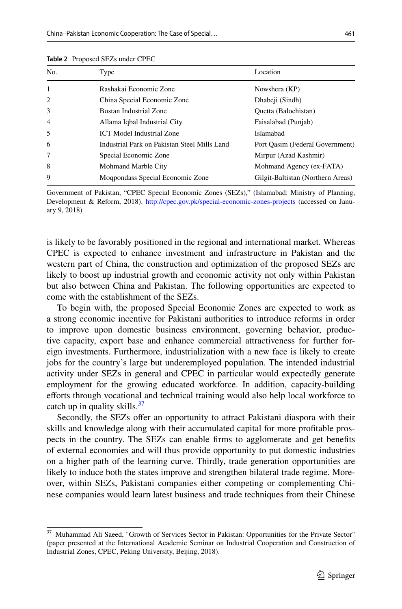| No.          | Type                                         | Location                          |
|--------------|----------------------------------------------|-----------------------------------|
| $\mathbf{1}$ | Rashakai Economic Zone                       | Nowshera (KP)                     |
| 2            | China Special Economic Zone                  | Dhabeji (Sindh)                   |
| 3            | Bostan Industrial Zone                       | Quetta (Balochistan)              |
| 4            | Allama Iqbal Industrial City                 | Faisalabad (Punjab)               |
| 5            | <b>ICT Model Industrial Zone</b>             | Islamabad                         |
| 6            | Industrial Park on Pakistan Steel Mills Land | Port Oasim (Federal Government)   |
| 7            | Special Economic Zone                        | Mirpur (Azad Kashmir)             |
| 8            | Mohmand Marble City                          | Mohmand Agency (ex-FATA)          |
| 9            | Moqpondass Special Economic Zone             | Gilgit-Baltistan (Northern Areas) |

<span id="page-8-0"></span>**Table 2** Proposed SEZs under CPEC

Government of Pakistan, "CPEC Special Economic Zones (SEZs)," (Islamabad: Ministry of Planning, Development & Reform, 2018). <http://cpec.gov.pk/special-economic-zones-projects> (accessed on January 9, 2018)

is likely to be favorably positioned in the regional and international market. Whereas CPEC is expected to enhance investment and infrastructure in Pakistan and the western part of China, the construction and optimization of the proposed SEZs are likely to boost up industrial growth and economic activity not only within Pakistan but also between China and Pakistan. The following opportunities are expected to come with the establishment of the SEZs.

To begin with, the proposed Special Economic Zones are expected to work as a strong economic incentive for Pakistani authorities to introduce reforms in order to improve upon domestic business environment, governing behavior, productive capacity, export base and enhance commercial attractiveness for further foreign investments. Furthermore, industrialization with a new face is likely to create jobs for the country's large but underemployed population. The intended industrial activity under SEZs in general and CPEC in particular would expectedly generate employment for the growing educated workforce. In addition, capacity-building eforts through vocational and technical training would also help local workforce to catch up in quality skills. $37$ 

Secondly, the SEZs offer an opportunity to attract Pakistani diaspora with their skills and knowledge along with their accumulated capital for more profitable prospects in the country. The SEZs can enable frms to agglomerate and get benefts of external economies and will thus provide opportunity to put domestic industries on a higher path of the learning curve. Thirdly, trade generation opportunities are likely to induce both the states improve and strengthen bilateral trade regime. Moreover, within SEZs, Pakistani companies either competing or complementing Chinese companies would learn latest business and trade techniques from their Chinese

<span id="page-8-1"></span><sup>37</sup> Muhammad Ali Saeed, "Growth of Services Sector in Pakistan: Opportunities for the Private Sector" (paper presented at the International Academic Seminar on Industrial Cooperation and Construction of Industrial Zones, CPEC, Peking University, Beijing, 2018).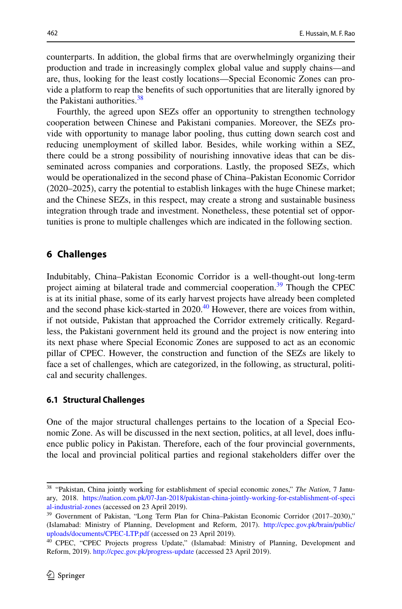counterparts. In addition, the global frms that are overwhelmingly organizing their production and trade in increasingly complex global value and supply chains—and are, thus, looking for the least costly locations—Special Economic Zones can pro– vide a platform to reap the benefts of such opportunities that are literally ignored by the Pakistani authorities.<sup>[38](#page-9-0)</sup>

Fourthly, the agreed upon SEZs offer an opportunity to strengthen technology cooperation between Chinese and Pakistani companies. Moreover, the SEZs provide with opportunity to manage labor pooling, thus cutting down search cost and reducing unemployment of skilled labor. Besides, while working within a SEZ, there could be a strong possibility of nourishing innovative ideas that can be disseminated across companies and corporations. Lastly, the proposed SEZs, which would be operationalized in the second phase of China–Pakistan Economic Corridor (2020–2025), carry the potential to establish linkages with the huge Chinese market; and the Chinese SEZs, in this respect, may create a strong and sustainable business integration through trade and investment. Nonetheless, these potential set of opportunities is prone to multiple challenges which are indicated in the following section.

# **6 Challenges**

Indubitably, China–Pakistan Economic Corridor is a well-thought-out long-term project aiming at bilateral trade and commercial cooperation.<sup>[39](#page-9-1)</sup> Though the CPEC is at its initial phase, some of its early harvest projects have already been completed and the second phase kick-started in  $2020<sup>40</sup>$  However, there are voices from within, if not outside, Pakistan that approached the Corridor extremely critically. Regardless, the Pakistani government held its ground and the project is now entering into its next phase where Special Economic Zones are supposed to act as an economic pillar of CPEC. However, the construction and function of the SEZs are likely to face a set of challenges, which are categorized, in the following, as structural, political and security challenges.

#### **6.1 Structural Challenges**

One of the major structural challenges pertains to the location of a Special Eco– nomic Zone. As will be discussed in the next section, politics, at all level, does influence public policy in Pakistan. Therefore, each of the four provincial governments, the local and provincial political parties and regional stakeholders difer over the

<span id="page-9-0"></span><sup>&</sup>lt;sup>38</sup> "Pakistan, China jointly working for establishment of special economic zones," The Nation, 7 January, 2018. [https://nation.com.pk/07-Jan-2018/pakistan-china-jointly-working-for-establishment-of-speci](https://nation.com.pk/07-Jan-2018/pakistan-china-jointly-working-for-establishment-of-special-industrial-zones) [al-industrial-zones](https://nation.com.pk/07-Jan-2018/pakistan-china-jointly-working-for-establishment-of-special-industrial-zones) (accessed on 23 April 2019).

<span id="page-9-1"></span><sup>&</sup>lt;sup>39</sup> Government of Pakistan, "Long Term Plan for China–Pakistan Economic Corridor (2017–2030)," (Islamabad: Ministry of Planning, Development and Reform, 2017). [http://cpec.gov.pk/brain/public/](http://cpec.gov.pk/brain/public/uploads/documents/CPEC-LTP.pdf) [uploads/documents/CPEC-LTP.pdf](http://cpec.gov.pk/brain/public/uploads/documents/CPEC-LTP.pdf) (accessed on 23 April 2019).

<span id="page-9-2"></span><sup>40</sup> CPEC, "CPEC Projects progress Update," (Islamabad: Ministry of Planning, Development and Reform, 2019). <http://cpec.gov.pk/progress-update> (accessed 23 April 2019).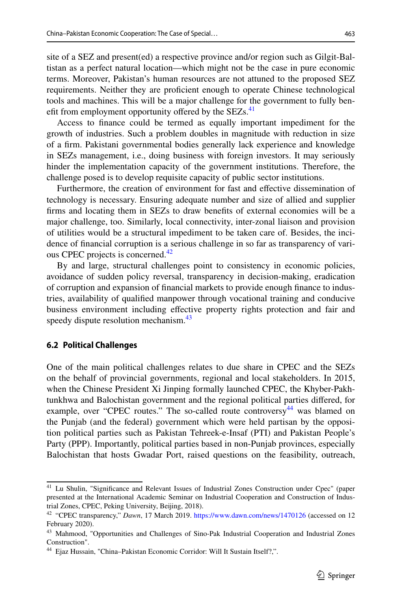site of a SEZ and present(ed) a respective province and/or region such as Gilgit-Bal– tistan as a perfect natural location—which might not be the case in pure economic terms. Moreover, Pakistan's human resources are not attuned to the proposed SEZ requirements. Neither they are profcient enough to operate Chinese technological tools and machines. This will be a major challenge for the government to fully benefit from employment opportunity offered by the  $SEZs$ .<sup>[41](#page-10-0)</sup>

Access to fnance could be termed as equally important impediment for the growth of industries. Such a problem doubles in magnitude with reduction in size of a frm. Pakistani governmental bodies generally lack experience and knowledge in SEZs management, i.e., doing business with foreign investors. It may seriously hinder the implementation capacity of the government institutions. Therefore, the challenge posed is to develop requisite capacity of public sector institutions.

Furthermore, the creation of environment for fast and efective dissemination of technology is necessary. Ensuring adequate number and size of allied and supplier frms and locating them in SEZs to draw benefts of external economies will be a major challenge, too. Similarly, local connectivity, inter-zonal liaison and provision of utilities would be a structural impediment to be taken care of. Besides, the incidence of financial corruption is a serious challenge in so far as transparency of vari ous CPEC projects is concerned.<sup>[42](#page-10-1)</sup>

By and large, structural challenges point to consistency in economic policies, avoidance of sudden policy reversal, transparency in decision-making, eradication of corruption and expansion of fnancial markets to provide enough fnance to indus‑ tries, availability of qualifed manpower through vocational training and conducive business environment including efective property rights protection and fair and speedy dispute resolution mechanism.<sup>[43](#page-10-2)</sup>

#### **6.2 Political Challenges**

One of the main political challenges relates to due share in CPEC and the SEZs on the behalf of provincial governments, regional and local stakeholders. In 2015, when the Chinese President Xi Jinping formally launched CPEC, the Khyber-Pakh– tunkhwa and Balochistan government and the regional political parties difered, for example, over "CPEC routes." The so-called route controversy  $44$  was blamed on the Punjab (and the federal) government which were held partisan by the opposition political parties such as Pakistan Tehreek-e-Insaf (PTI) and Pakistan People's Party (PPP). Importantly, political parties based in non-Punjab provinces, especially Balochistan that hosts Gwadar Port, raised questions on the feasibility, outreach,

<span id="page-10-0"></span><sup>41</sup> Lu Shulin, "Signifcance and Relevant Issues of Industrial Zones Construction under Cpec" (paper presented at the International Academic Seminar on Industrial Cooperation and Construction of Industrial Zones, CPEC, Peking University, Beijing, 2018).

<span id="page-10-1"></span><sup>42</sup> "CPEC transparency," *Dawn*, 17 March 2019. <https://www.dawn.com/news/1470126>(accessed on 12 February 2020).

<span id="page-10-2"></span><sup>&</sup>lt;sup>43</sup> Mahmood, "Opportunities and Challenges of Sino-Pak Industrial Cooperation and Industrial Zones Construction".

<span id="page-10-3"></span><sup>44</sup> Ejaz Hussain, "China–Pakistan Economic Corridor: Will It Sustain Itself?,".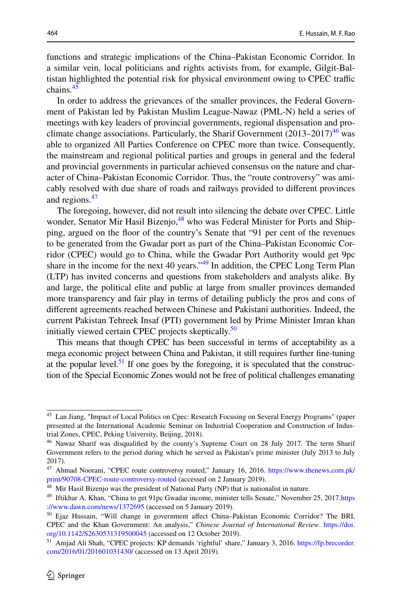functions and strategic implications of the China–Pakistan Economic Corridor. In a similar vein, local politicians and rights activists from, for example, Gilgit-Bal– tistan highlighted the potential risk for physical environment owing to CPEC traffic chains. $45$ 

In order to address the grievances of the smaller provinces, the Federal Government of Pakistan led by Pakistan Muslim League-Nawaz (PML-N) held a series of meetings with key leaders of provincial governments, regional dispensation and proclimate change associations. Particularly, the Sharif Government  $(2013-2017)^{46}$  was able to organized All Parties Conference on CPEC more than twice. Consequently, the mainstream and regional political parties and groups in general and the federal and provincial governments in particular achieved consensus on the nature and character of China–Pakistan Economic Corridor. Thus, the "route controversy" was amicably resolved with due share of roads and railways provided to diferent provinces and regions.<sup>[47](#page-11-2)</sup>

The foregoing, however, did not result into silencing the debate over CPEC. Little wonder, Senator Mir Hasil Bizenjo,<sup>48</sup> who was Federal Minister for Ports and Shipping, argued on the foor of the country's Senate that "91 per cent of the revenues to be generated from the Gwadar port as part of the China–Pakistan Economic Corridor (CPEC) would go to China, while the Gwadar Port Authority would get 9pc share in the income for the next 40 years."<sup>[49](#page-11-4)</sup> In addition, the CPEC Long Term Plan (LTP) has invited concerns and questions from stakeholders and analysts alike. By and large, the political elite and public at large from smaller provinces demanded more transparency and fair play in terms of detailing publicly the pros and cons of diferent agreements reached between Chinese and Pakistani authorities. Indeed, the current Pakistan Tehreek Insaf (PTI) government led by Prime Minister Imran khan initially viewed certain CPEC projects skeptically.<sup>[50](#page-11-5)</sup>

This means that though CPEC has been successful in terms of acceptability as a mega economic project between China and Pakistan, it still requires further fne-tuning at the popular level.<sup>51</sup> If one goes by the foregoing, it is speculated that the construction of the Special Economic Zones would not be free of political challenges emanating

<span id="page-11-0"></span><sup>45</sup> Lan Jiang, "Impact of Local Politics on Cpec: Research Focusing on Several Energy Programs" (paper presented at the International Academic Seminar on Industrial Cooperation and Construction of Industrial Zones, CPEC, Peking University, Beijing, 2018).

<span id="page-11-1"></span><sup>&</sup>lt;sup>46</sup> Nawaz Sharif was disqualified by the county's Supreme Court on 28 July 2017. The term Sharif Government refers to the period during which he served as Pakistan's prime minister (July 2013 to July 2017).

<span id="page-11-2"></span><sup>47</sup> Ahmad Noorani, "CPEC route controversy routed," January 16, 2016. [https://www.thenews.com.pk/](https://www.thenews.com.pk/print/90708-CPEC-route-controversy-routed) [print/90708-CPEC-route-controversy-routed](https://www.thenews.com.pk/print/90708-CPEC-route-controversy-routed) (accessed on 2 January 2019).

<span id="page-11-3"></span><sup>&</sup>lt;sup>48</sup> Mir Hasil Bizenjo was the president of National Party (NP) that is nationalist in nature.

<span id="page-11-4"></span><sup>49</sup> Iftikhar A. Khan, "China to get 91pc Gwadar income, minister tells Senate," November 25, 2017.[https](https://www.dawn.com/news/1372695) [://www.dawn.com/news/1372695](https://www.dawn.com/news/1372695) (accessed on 5 January 2019).

<span id="page-11-5"></span><sup>50</sup> Ejaz Hussain, "Will change in government afect China–Pakistan Economic Corridor? The BRI, CPEC and the Khan Government: An analysis," *Chinese Journal of International Review*. [https://doi.](https://doi.org/10.1142/S2630531319500045) [org/10.1142/S2630531319500045](https://doi.org/10.1142/S2630531319500045) (accessed on 12 October 2019).

<span id="page-11-6"></span><sup>&</sup>lt;sup>51</sup> Amjad Ali Shah, "CPEC projects: KP demands 'rightful' share," January 3, 2016. [https://fp.brecorder.](https://fp.brecorder.com/2016/01/201601031430/) [com/2016/01/201601031430/](https://fp.brecorder.com/2016/01/201601031430/) (accessed on 13 April 2019).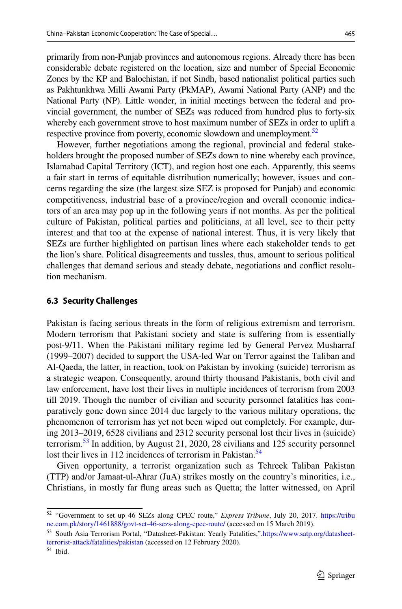primarily from non-Punjab provinces and autonomous regions. Already there has been considerable debate registered on the location, size and number of Special Economic Zones by the KP and Balochistan, if not Sindh, based nationalist political parties such as Pakhtunkhwa Milli Awami Party (PkMAP), Awami National Party (ANP) and the National Party (NP). Little wonder, in initial meetings between the federal and provincial government, the number of SEZs was reduced from hundred plus to forty-six whereby each government strove to host maximum number of SEZs in order to uplift a respective province from poverty, economic slowdown and unemployment.<sup>52</sup>

However, further negotiations among the regional, provincial and federal stake– holders brought the proposed number of SEZs down to nine whereby each province, Islamabad Capital Territory (ICT), and region host one each. Apparently, this seems a fair start in terms of equitable distribution numerically; however, issues and concerns regarding the size (the largest size SEZ is proposed for Punjab) and economic competitiveness, industrial base of a province/region and overall economic indicators of an area may pop up in the following years if not months. As per the political culture of Pakistan, political parties and politicians, at all level, see to their petty interest and that too at the expense of national interest. Thus, it is very likely that SEZs are further highlighted on partisan lines where each stakeholder tends to get the lion's share. Political disagreements and tussles, thus, amount to serious political challenges that demand serious and steady debate, negotiations and conflict resolution mechanism.

### **6.3 Security Challenges**

Pakistan is facing serious threats in the form of religious extremism and terrorism. Modern terrorism that Pakistani society and state is sufering from is essentially post-9/11. When the Pakistani military regime led by General Pervez Musharraf (1999–2007) decided to support the USA-led War on Terror against the Taliban and Al-Qaeda, the latter, in reaction, took on Pakistan by invoking (suicide) terrorism as a strategic weapon. Consequently, around thirty thousand Pakistanis, both civil and law enforcement, have lost their lives in multiple incidences of terrorism from 2003 till 2019. Though the number of civilian and security personnel fatalities has comparatively gone down since 2014 due largely to the various military operations, the phenomenon of terrorism has yet not been wiped out completely. For example, dur‑ ing 2013–2019, 6528 civilians and 2312 security personal lost their lives in (suicide) terrorism.<sup>53</sup> In addition, by August 21, 2020, 28 civilians and 125 security personnel lost their lives in 112 incidences of terrorism in Pakistan.<sup>[54](#page-12-2)</sup>

Given opportunity, a terrorist organization such as Tehreek Taliban Pakistan (TTP) and/or Jamaat-ul-Ahrar (JuA) strikes mostly on the country's minorities, i.e., Christians, in mostly far fung areas such as Quetta; the latter witnessed, on April

<span id="page-12-0"></span><sup>52</sup> "Government to set up 46 SEZs along CPEC route," *Express Tribune*, July 20, 2017. [https://tribu](https://tribune.com.pk/story/1461888/govt-set-46-sezs-along-cpec-route/) [ne.com.pk/story/1461888/govt-set-46-sezs-along-cpec-route/](https://tribune.com.pk/story/1461888/govt-set-46-sezs-along-cpec-route/) (accessed on 15 March 2019).

<span id="page-12-1"></span><sup>53</sup> South Asia Terrorism Portal, "Datasheet-Pakistan: Yearly Fatalities,"[.https://www.satp.org/datasheet](https://www.satp.org/datasheet-terrorist-attack/fatalities/pakistan)[terrorist-attack/fatalities/pakistan](https://www.satp.org/datasheet-terrorist-attack/fatalities/pakistan) (accessed on 12 February 2020).

<span id="page-12-2"></span><sup>54</sup> Ibid.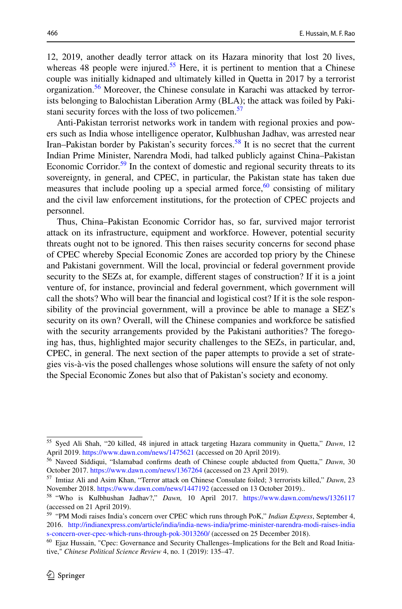12, 2019, another deadly terror attack on its Hazara minority that lost 20 lives, whereas 48 people were injured.<sup>55</sup> Here, it is pertinent to mention that a Chinese couple was initially kidnaped and ultimately killed in Quetta in 2017 by a terrorist organization.<sup>[56](#page-13-1)</sup> Moreover, the Chinese consulate in Karachi was attacked by terror– ists belonging to Balochistan Liberation Army (BLA); the attack was foiled by Pakistani security forces with the loss of two policemen. $57$ 

Anti-Pakistan terrorist networks work in tandem with regional proxies and pow‑ ers such as India whose intelligence operator, Kulbhushan Jadhav, was arrested near Iran–Pakistan border by Pakistan's security forces.<sup>58</sup> It is no secret that the current Indian Prime Minister, Narendra Modi, had talked publicly against China–Pakistan Economic Corridor.<sup>[59](#page-13-4)</sup> In the context of domestic and regional security threats to its sovereignty, in general, and CPEC, in particular, the Pakistan state has taken due measures that include pooling up a special armed force, $60$  consisting of military and the civil law enforcement institutions, for the protection of CPEC projects and personnel.

Thus, China–Pakistan Economic Corridor has, so far, survived major terrorist attack on its infrastructure, equipment and workforce. However, potential security threats ought not to be ignored. This then raises security concerns for second phase of CPEC whereby Special Economic Zones are accorded top priory by the Chinese and Pakistani government. Will the local, provincial or federal government provide security to the SEZs at, for example, diferent stages of construction? If it is a joint venture of, for instance, provincial and federal government, which government will call the shots? Who will bear the financial and logistical cost? If it is the sole responsibility of the provincial government, will a province be able to manage a SEZ's security on its own? Overall, will the Chinese companies and workforce be satisfed with the security arrangements provided by the Pakistani authorities? The foregoing has, thus, highlighted major security challenges to the SEZs, in particular, and, CPEC, in general. The next section of the paper attempts to provide a set of strate‑ gies vis-à-vis the posed challenges whose solutions will ensure the safety of not only the Special Economic Zones but also that of Pakistan's society and economy.

<span id="page-13-0"></span><sup>55</sup> Syed Ali Shah, "20 killed, 48 injured in attack targeting Hazara community in Quetta," *Dawn*, 12 April 2019.<https://www.dawn.com/news/1475621> (accessed on 20 April 2019).

<span id="page-13-1"></span><sup>56</sup> Naveed Siddiqui, "Islamabad confrms death of Chinese couple abducted from Quetta," *Dawn*, 30 October 2017. <https://www.dawn.com/news/1367264> (accessed on 23 April 2019).

<span id="page-13-2"></span><sup>57</sup> Imtiaz Ali and Asim Khan, "Terror attack on Chinese Consulate foiled; 3 terrorists killed," *Dawn*, 23 November 2018.<https://www.dawn.com/news/1447192>(accessed on 13 October 2019)..

<span id="page-13-3"></span><sup>58</sup> "Who is Kulbhushan Jadhav?," *Dawn,* 10 April 2017. <https://www.dawn.com/news/1326117> (accessed on 21 April 2019).

<span id="page-13-4"></span><sup>59</sup> "PM Modi raises India's concern over CPEC which runs through PoK," *Indian Express*, September 4, 2016. [http://indianexpress.com/article/india/india-news-india/prime-minister-narendra-modi-raises-india](http://indianexpress.com/article/india/india-news-india/prime-minister-narendra-modi-raises-indias-concern-over-cpec-which-runs-through-pok-3013260/) [s-concern-over-cpec-which-runs-through-pok-3013260/](http://indianexpress.com/article/india/india-news-india/prime-minister-narendra-modi-raises-indias-concern-over-cpec-which-runs-through-pok-3013260/) (accessed on 25 December 2018).

<span id="page-13-5"></span><sup>&</sup>lt;sup>60</sup> Ejaz Hussain, "Cpec: Governance and Security Challenges–Implications for the Belt and Road Initiative," *Chinese Political Science Review* 4, no. 1 (2019): 135–47.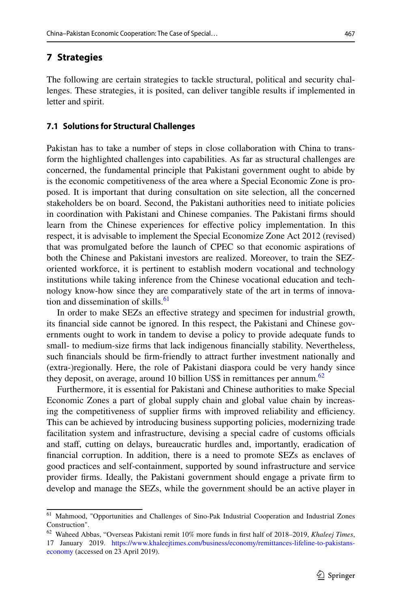# **7 Strategies**

The following are certain strategies to tackle structural, political and security chal– lenges. These strategies, it is posited, can deliver tangible results if implemented in letter and spirit.

#### **7.1 Solutions for Structural Challenges**

Pakistan has to take a number of steps in close collaboration with China to trans‑ form the highlighted challenges into capabilities. As far as structural challenges are concerned, the fundamental principle that Pakistani government ought to abide by is the economic competitiveness of the area where a Special Economic Zone is pro– posed. It is important that during consultation on site selection, all the concerned stakeholders be on board. Second, the Pakistani authorities need to initiate policies in coordination with Pakistani and Chinese companies. The Pakistani frms should learn from the Chinese experiences for efective policy implementation. In this respect, it is advisable to implement the Special Economize Zone Act 2012 (revised) that was promulgated before the launch of CPEC so that economic aspirations of both the Chinese and Pakistani investors are realized. Moreover, to train the SEZoriented workforce, it is pertinent to establish modern vocational and technology institutions while taking inference from the Chinese vocational education and technology know-how since they are comparatively state of the art in terms of innova-tion and dissemination of skills.<sup>[61](#page-14-0)</sup>

In order to make SEZs an efective strategy and specimen for industrial growth, its financial side cannot be ignored. In this respect, the Pakistani and Chinese governments ought to work in tandem to devise a policy to provide adequate funds to small- to medium-size frms that lack indigenous fnancially stability. Nevertheless, such fnancials should be frm-friendly to attract further investment nationally and (extra-)regionally. Here, the role of Pakistani diaspora could be very handy since they deposit, on average, around 10 billion US\$ in remittances per annum.<sup>[62](#page-14-1)</sup>

Furthermore, it is essential for Pakistani and Chinese authorities to make Special Economic Zones a part of global supply chain and global value chain by increas‑ ing the competitiveness of supplier firms with improved reliability and efficiency. This can be achieved by introducing business supporting policies, modernizing trade facilitation system and infrastructure, devising a special cadre of customs officials and staf, cutting on delays, bureaucratic hurdles and, importantly, eradication of fnancial corruption. In addition, there is a need to promote SEZs as enclaves of good practices and self-containment, supported by sound infrastructure and service provider frms. Ideally, the Pakistani government should engage a private frm to develop and manage the SEZs, while the government should be an active player in

<span id="page-14-0"></span><sup>61</sup> Mahmood, "Opportunities and Challenges of Sino-Pak Industrial Cooperation and Industrial Zones Construction".

<span id="page-14-1"></span><sup>62</sup> Waheed Abbas, "Overseas Pakistani remit 10% more funds in frst half of 2018–2019, *Khaleej Times*, 17 January 2019. [https://www.khaleejtimes.com/business/economy/remittances-lifeline-to-pakistans](https://www.khaleejtimes.com/business/economy/remittances-lifeline-to-pakistans-economy)[economy](https://www.khaleejtimes.com/business/economy/remittances-lifeline-to-pakistans-economy) (accessed on 23 April 2019).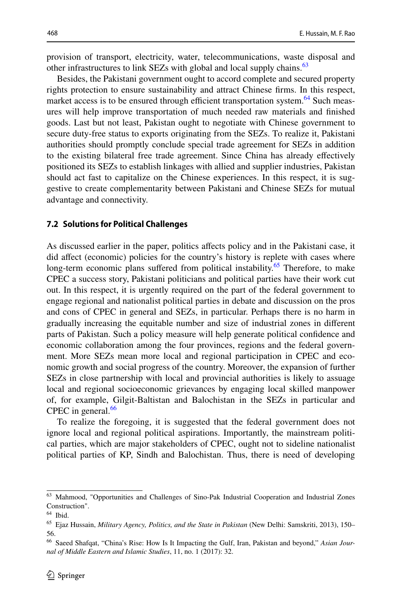provision of transport, electricity, water, telecommunications, waste disposal and other infrastructures to link SEZs with global and local supply chains.<sup>[63](#page-15-0)</sup>

Besides, the Pakistani government ought to accord complete and secured property rights protection to ensure sustainability and attract Chinese frms. In this respect, market access is to be ensured through efficient transportation system.<sup>[64](#page-15-1)</sup> Such measures will help improve transportation of much needed raw materials and fnished goods. Last but not least, Pakistan ought to negotiate with Chinese government to secure duty-free status to exports originating from the SEZs. To realize it, Pakistani authorities should promptly conclude special trade agreement for SEZs in addition to the existing bilateral free trade agreement. Since China has already efectively positioned its SEZs to establish linkages with allied and supplier industries, Pakistan should act fast to capitalize on the Chinese experiences. In this respect, it is suggestive to create complementarity between Pakistani and Chinese SEZs for mutual advantage and connectivity.

#### **7.2 Solutions for Political Challenges**

As discussed earlier in the paper, politics afects policy and in the Pakistani case, it did afect (economic) policies for the country's history is replete with cases where long-term economic plans suffered from political instability.<sup>65</sup> Therefore, to make CPEC a success story, Pakistani politicians and political parties have their work cut out. In this respect, it is urgently required on the part of the federal government to engage regional and nationalist political parties in debate and discussion on the pros and cons of CPEC in general and SEZs, in particular. Perhaps there is no harm in gradually increasing the equitable number and size of industrial zones in diferent parts of Pakistan. Such a policy measure will help generate political confdence and economic collaboration among the four provinces, regions and the federal govern– ment. More SEZs mean more local and regional participation in CPEC and economic growth and social progress of the country. Moreover, the expansion of further SEZs in close partnership with local and provincial authorities is likely to assuage local and regional socioeconomic grievances by engaging local skilled manpower of, for example, Gilgit-Baltistan and Balochistan in the SEZs in particular and CPEC in general. $66$ 

To realize the foregoing, it is suggested that the federal government does not ignore local and regional political aspirations. Importantly, the mainstream political parties, which are major stakeholders of CPEC, ought not to sideline nationalist political parties of KP, Sindh and Balochistan. Thus, there is need of developing

<span id="page-15-0"></span><sup>63</sup> Mahmood, "Opportunities and Challenges of Sino-Pak Industrial Cooperation and Industrial Zones Construction".

<span id="page-15-1"></span><sup>64</sup> Ibid.

<span id="page-15-2"></span><sup>65</sup> Ejaz Hussain, *Military Agency, Politics, and the State in Pakistan* (New Delhi: Samskriti, 2013), 150– 56.

<span id="page-15-3"></span><sup>66</sup> Saeed Shafqat, "China's Rise: How Is It Impacting the Gulf, Iran, Pakistan and beyond," *Asian Journal of Middle Eastern and Islamic Studies*, 11, no. 1 (2017): 32.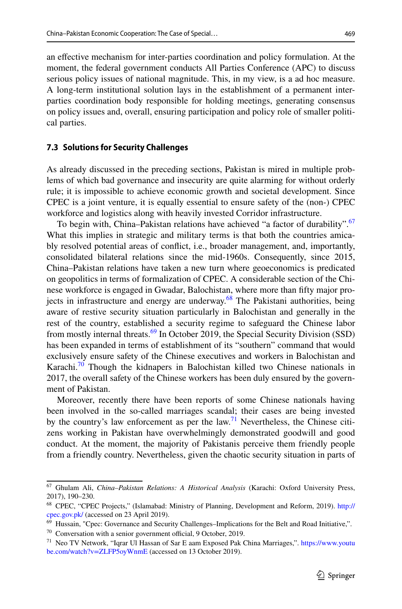an efective mechanism for inter-parties coordination and policy formulation. At the moment, the federal government conducts All Parties Conference (APC) to discuss serious policy issues of national magnitude. This, in my view, is a ad hoc measure. A long-term institutional solution lays in the establishment of a permanent interparties coordination body responsible for holding meetings, generating consensus on policy issues and, overall, ensuring participation and policy role of smaller political parties.

#### **7.3 Solutions for Security Challenges**

As already discussed in the preceding sections, Pakistan is mired in multiple problems of which bad governance and insecurity are quite alarming for without orderly rule; it is impossible to achieve economic growth and societal development. Since CPEC is a joint venture, it is equally essential to ensure safety of the (non-) CPEC workforce and logistics along with heavily invested Corridor infrastructure.

To begin with, China–Pakistan relations have achieved "a factor of durability".<sup>67</sup> What this implies in strategic and military terms is that both the countries amicably resolved potential areas of confict, i.e., broader management, and, importantly, consolidated bilateral relations since the mid-1960s. Consequently, since 2015, China–Pakistan relations have taken a new turn where geoeconomics is predicated on geopolitics in terms of formalization of CPEC. A considerable section of the Chinese workforce is engaged in Gwadar, Balochistan, where more than fifty major projects in infrastructure and energy are underway. $68$  The Pakistani authorities, being aware of restive security situation particularly in Balochistan and generally in the rest of the country, established a security regime to safeguard the Chinese labor from mostly internal threats.<sup>69</sup> In October 2019, the Special Security Division (SSD) has been expanded in terms of establishment of its "southern" command that would exclusively ensure safety of the Chinese executives and workers in Balochistan and Karachi. $70$  Though the kidnapers in Balochistan killed two Chinese nationals in 2017, the overall safety of the Chinese workers has been duly ensured by the government of Pakistan.

Moreover, recently there have been reports of some Chinese nationals having been involved in the so-called marriages scandal; their cases are being invested by the country's law enforcement as per the  $law$ <sup>[71](#page-16-4)</sup> Nevertheless, the Chinese citizens working in Pakistan have overwhelmingly demonstrated goodwill and good conduct. At the moment, the majority of Pakistanis perceive them friendly people from a friendly country. Nevertheless, given the chaotic security situation in parts of

<span id="page-16-3"></span> $70$  Conversation with a senior government official, 9 October, 2019.

<span id="page-16-0"></span><sup>67</sup> Ghulam Ali, *China–Pakistan Relations: A Historical Analysis* (Karachi: Oxford University Press, 2017), 190–230.

<span id="page-16-1"></span><sup>&</sup>lt;sup>68</sup> CPEC, "CPEC Projects," (Islamabad: Ministry of Planning, Development and Reform, 2019). [http://](http://cpec.gov.pk/) [cpec.gov.pk/](http://cpec.gov.pk/) (accessed on 23 April 2019).

<span id="page-16-2"></span><sup>&</sup>lt;sup>69</sup> Hussain, "Cpec: Governance and Security Challenges–Implications for the Belt and Road Initiative,".

<span id="page-16-4"></span><sup>&</sup>lt;sup>71</sup> Neo TV Network, "Iqrar Ul Hassan of Sar E aam Exposed Pak China Marriages,". [https://www.youtu](https://www.youtube.com/watch?v=ZLFP5oyWnmE) [be.com/watch?v=ZLFP5oyWnmE](https://www.youtube.com/watch?v=ZLFP5oyWnmE) (accessed on 13 October 2019).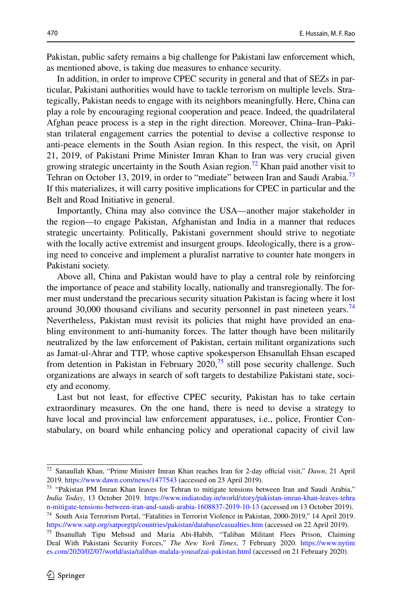Pakistan, public safety remains a big challenge for Pakistani law enforcement which, as mentioned above, is taking due measures to enhance security.

In addition, in order to improve CPEC security in general and that of SEZs in par ticular, Pakistani authorities would have to tackle terrorism on multiple levels. Stra‑ tegically, Pakistan needs to engage with its neighbors meaningfully. Here, China can play a role by encouraging regional cooperation and peace. Indeed, the quadrilateral Afghan peace process is a step in the right direction. Moreover, China–Iran–Paki‑ stan trilateral engagement carries the potential to devise a collective response to anti-peace elements in the South Asian region. In this respect, the visit, on April 21, 2019, of Pakistani Prime Minister Imran Khan to Iran was very crucial given growing strategic uncertainty in the South Asian region.<sup>72</sup> Khan paid another visit to Tehran on October 13, 2019, in order to "mediate" between Iran and Saudi Arabia.<sup>73</sup> If this materializes, it will carry positive implications for CPEC in particular and the Belt and Road Initiative in general.

Importantly, China may also convince the USA—another major stakeholder in the region—to engage Pakistan, Afghanistan and India in a manner that reduces strategic uncertainty. Politically, Pakistani government should strive to negotiate with the locally active extremist and insurgent groups. Ideologically, there is a growing need to conceive and implement a pluralist narrative to counter hate mongers in Pakistani society.

Above all, China and Pakistan would have to play a central role by reinforcing the importance of peace and stability locally, nationally and transregionally. The former must understand the precarious security situation Pakistan is facing where it lost around 30,000 thousand civilians and security personnel in past nineteen years.<sup>74</sup> Nevertheless, Pakistan must revisit its policies that might have provided an ena‑ bling environment to anti-humanity forces. The latter though have been militarily neutralized by the law enforcement of Pakistan, certain militant organizations such as Jamat-ul-Ahrar and TTP, whose captive spokesperson Ehsanullah Ehsan escaped from detention in Pakistan in February  $2020$ ,<sup>75</sup> still pose security challenge. Such organizations are always in search of soft targets to destabilize Pakistani state, society and economy.

Last but not least, for efective CPEC security, Pakistan has to take certain extraordinary measures. On the one hand, there is need to devise a strategy to have local and provincial law enforcement apparatuses, i.e., police, Frontier Constabulary, on board while enhancing policy and operational capacity of civil law

<span id="page-17-2"></span><https://www.satp.org/satporgtp/countries/pakistan/database/casualties.htm>(accessed on 22 April 2019).

<span id="page-17-0"></span><sup>&</sup>lt;sup>72</sup> Sanaullah Khan, "Prime Minister Imran Khan reaches Iran for 2-day official visit," *Dawn*, 21 April 2019.<https://www.dawn.com/news/1477543> (accessed on 23 April 2019).

<span id="page-17-1"></span><sup>&</sup>lt;sup>73</sup> "Pakistan PM Imran Khan leaves for Tehran to mitigate tensions between Iran and Saudi Arabia," *India Today*, 13 October 2019. [https://www.indiatoday.in/world/story/pakistan-imran-khan-leaves-tehra](https://www.indiatoday.in/world/story/pakistan-imran-khan-leaves-tehran-mitigate-tensions-between-iran-and-saudi-arabia-1608837-2019-10-13) [n-mitigate-tensions-between-iran-and-saudi-arabia-1608837-2019-10-13](https://www.indiatoday.in/world/story/pakistan-imran-khan-leaves-tehran-mitigate-tensions-between-iran-and-saudi-arabia-1608837-2019-10-13) (accessed on 13 October 2019). <sup>74</sup> South Asia Terrorism Portal, "Fatalities in Terrorist Violence in Pakistan, 2000-2019," 14 April 2019.

<span id="page-17-3"></span><sup>75</sup> Ihsanullah Tipu Mehsud and Maria Abi-Habib, "Taliban Militant Flees Prison, Claiming Deal With Pakistani Security Forces," *The New York Times*, 7 February 2020. [https://www.nytim](https://www.nytimes.com/2020/02/07/world/asia/taliban-malala-yousafzai-pakistan.html) [es.com/2020/02/07/world/asia/taliban-malala-yousafzai-pakistan.html](https://www.nytimes.com/2020/02/07/world/asia/taliban-malala-yousafzai-pakistan.html) (accessed on 21 February 2020).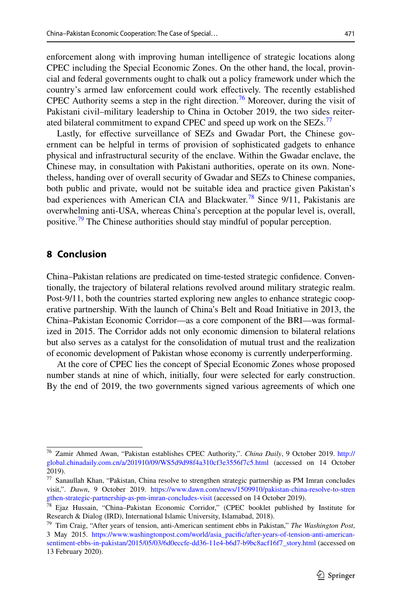enforcement along with improving human intelligence of strategic locations along CPEC including the Special Economic Zones. On the other hand, the local, provin– cial and federal governments ought to chalk out a policy framework under which the country's armed law enforcement could work efectively. The recently established CPEC Authority seems a step in the right direction.<sup>76</sup> Moreover, during the visit of Pakistani civil–military leadership to China in October 2019, the two sides reiter-ated bilateral commitment to expand CPEC and speed up work on the SEZs.<sup>[77](#page-18-1)</sup>

Lastly, for effective surveillance of SEZs and Gwadar Port, the Chinese government can be helpful in terms of provision of sophisticated gadgets to enhance physical and infrastructural security of the enclave. Within the Gwadar enclave, the Chinese may, in consultation with Pakistani authorities, operate on its own. Nonetheless, handing over of overall security of Gwadar and SEZs to Chinese companies, both public and private, would not be suitable idea and practice given Pakistan's bad experiences with American CIA and Blackwater.<sup>[78](#page-18-2)</sup> Since  $9/11$ , Pakistanis are overwhelming anti-USA, whereas China's perception at the popular level is, overall, positive.<sup>79</sup> The Chinese authorities should stay mindful of popular perception.

# **8 Conclusion**

China–Pakistan relations are predicated on time-tested strategic confdence. Conven‑ tionally, the trajectory of bilateral relations revolved around military strategic realm. Post-9/11, both the countries started exploring new angles to enhance strategic cooperative partnership. With the launch of China's Belt and Road Initiative in 2013, the China–Pakistan Economic Corridor—as a core component of the BRI—was formal‑ ized in 2015. The Corridor adds not only economic dimension to bilateral relations but also serves as a catalyst for the consolidation of mutual trust and the realization of economic development of Pakistan whose economy is currently underperforming.

At the core of CPEC lies the concept of Special Economic Zones whose proposed number stands at nine of which, initially, four were selected for early construction. By the end of 2019, the two governments signed various agreements of which one

<span id="page-18-0"></span><sup>76</sup> Zamir Ahmed Awan, "Pakistan establishes CPEC Authority,". *China Daily*, 9 October 2019. [http://](http://global.chinadaily.com.cn/a/201910/09/WS5d9d98f4a310cf3e3556f7c5.html) [global.chinadaily.com.cn/a/201910/09/WS5d9d98f4a310cf3e3556f7c5.html](http://global.chinadaily.com.cn/a/201910/09/WS5d9d98f4a310cf3e3556f7c5.html) (accessed on 14 October 2019).

<span id="page-18-1"></span><sup>77</sup> Sanaullah Khan, "Pakistan, China resolve to strengthen strategic partnership as PM Imran concludes visit,". *Dawn*, 9 October 2019. [https://www.dawn.com/news/1509910/pakistan-china-resolve-to-stren](https://www.dawn.com/news/1509910/pakistan-china-resolve-to-strengthen-strategic-partnership-as-pm-imran-concludes-visit) [gthen-strategic-partnership-as-pm-imran-concludes-visit](https://www.dawn.com/news/1509910/pakistan-china-resolve-to-strengthen-strategic-partnership-as-pm-imran-concludes-visit) (accessed on 14 October 2019).

<span id="page-18-2"></span><sup>78</sup> Ejaz Hussain, "China–Pakistan Economic Corridor," (CPEC booklet published by Institute for Research & Dialog (IRD), International Islamic University, Islamabad, 2018).

<span id="page-18-3"></span><sup>79</sup> Tim Craig, "After years of tension, anti-American sentiment ebbs in Pakistan," *The Washington Post*, 3 May 2015. [https://www.washingtonpost.com/world/asia\\_pacific/after-years-of-tension-anti-american](https://www.washingtonpost.com/world/asia_pacific/after-years-of-tension-anti-american-sentiment-ebbs-in-pakistan/2015/05/03/6d0eccfe-dd36-11e4-b6d7-b9bc8acf16f7_story.html)[sentiment-ebbs-in-pakistan/2015/05/03/6d0eccfe-dd36-11e4-b6d7-b9bc8acf16f7\\_story.html](https://www.washingtonpost.com/world/asia_pacific/after-years-of-tension-anti-american-sentiment-ebbs-in-pakistan/2015/05/03/6d0eccfe-dd36-11e4-b6d7-b9bc8acf16f7_story.html) (accessed on 13 February 2020).